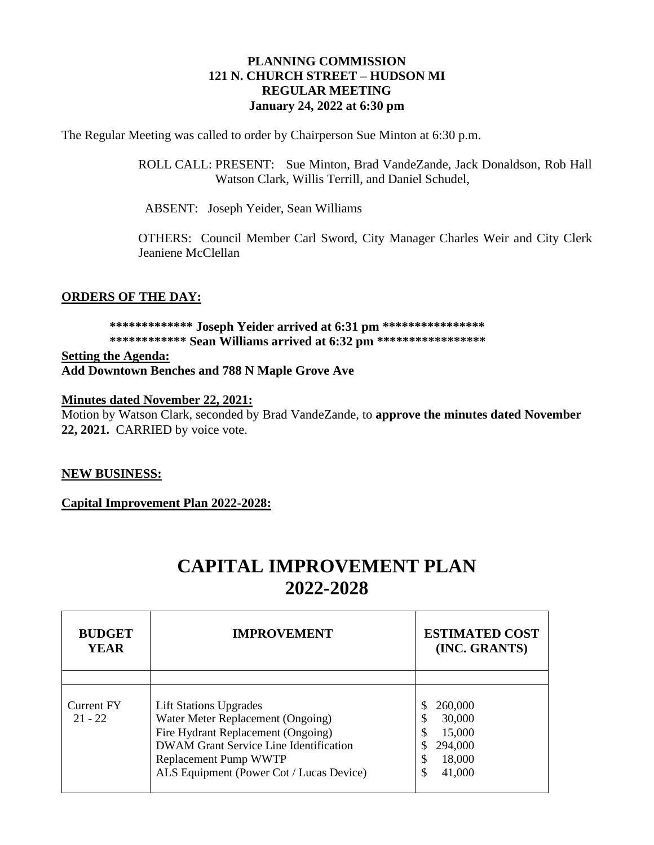#### **PLANNING COMMISSION 121 N. CHURCH STREET – HUDSON MI REGULAR MEETING January 24, 2022 at 6:30 pm**

The Regular Meeting was called to order by Chairperson Sue Minton at 6:30 p.m.

ROLL CALL: PRESENT: Sue Minton, Brad VandeZande, Jack Donaldson, Rob Hall Watson Clark, Willis Terrill, and Daniel Schudel,

ABSENT: Joseph Yeider, Sean Williams

OTHERS: Council Member Carl Sword, City Manager Charles Weir and City Clerk Jeaniene McClellan

#### **ORDERS OF THE DAY:**

# **\*\*\*\*\*\*\*\*\*\*\*\*\* Joseph Yeider arrived at 6:31 pm \*\*\*\*\*\*\*\*\*\*\*\*\*\*\*\* \*\*\*\*\*\*\*\*\*\*\*\* Sean Williams arrived at 6:32 pm \*\*\*\*\*\*\*\*\*\*\*\*\*\*\*\*\***

**Setting the Agenda: Add Downtown Benches and 788 N Maple Grove Ave**

#### **Minutes dated November 22, 2021:**

Motion by Watson Clark, seconded by Brad VandeZande, to **approve the minutes dated November 22, 2021.** CARRIED by voice vote.

#### **NEW BUSINESS:**

**Capital Improvement Plan 2022-2028:**

# **CAPITAL IMPROVEMENT PLAN 2022-2028**

| <b>BUDGET</b><br><b>YEAR</b> | <b>IMPROVEMENT</b>                                                                                                                                                                                                             | <b>ESTIMATED COST</b><br>(INC. GRANTS)                                             |
|------------------------------|--------------------------------------------------------------------------------------------------------------------------------------------------------------------------------------------------------------------------------|------------------------------------------------------------------------------------|
|                              |                                                                                                                                                                                                                                |                                                                                    |
| Current FY<br>$21 - 22$      | <b>Lift Stations Upgrades</b><br>Water Meter Replacement (Ongoing)<br>Fire Hydrant Replacement (Ongoing)<br><b>DWAM Grant Service Line Identification</b><br>Replacement Pump WWTP<br>ALS Equipment (Power Cot / Lucas Device) | 260,000<br>30,000<br>\$<br>\$<br>15,000<br>294,000<br>\$<br>18,000<br>\$<br>41,000 |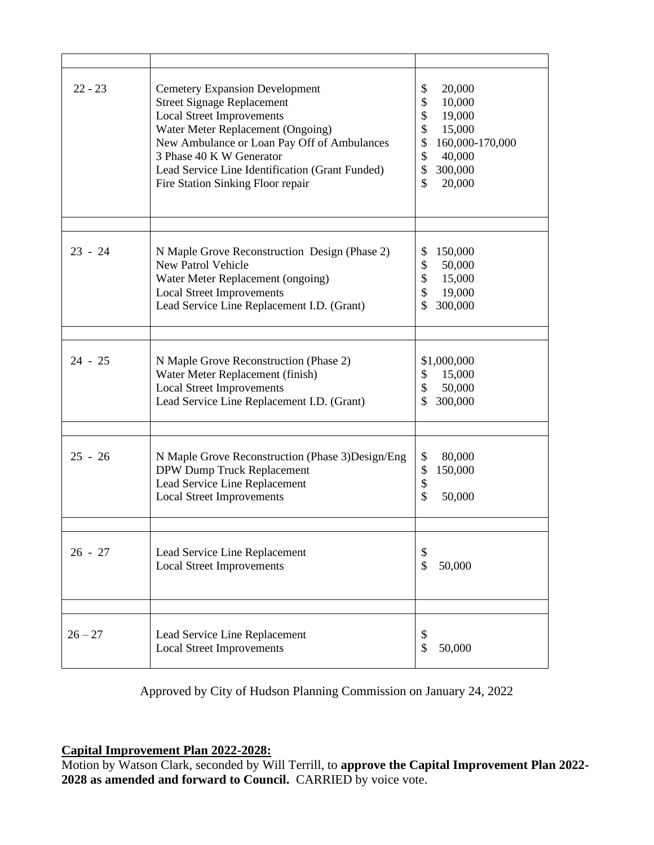| $22 - 23$ | <b>Cemetery Expansion Development</b><br><b>Street Signage Replacement</b><br><b>Local Street Improvements</b><br>Water Meter Replacement (Ongoing)<br>New Ambulance or Loan Pay Off of Ambulances<br>3 Phase 40 K W Generator<br>Lead Service Line Identification (Grant Funded)<br>Fire Station Sinking Floor repair | 20,000<br>\$<br>\$<br>10,000<br>\$<br>19,000<br>\$<br>15,000<br>\$<br>160,000-170,000<br>\$<br>40,000<br>\$<br>300,000<br>\$<br>20,000 |
|-----------|------------------------------------------------------------------------------------------------------------------------------------------------------------------------------------------------------------------------------------------------------------------------------------------------------------------------|----------------------------------------------------------------------------------------------------------------------------------------|
| $23 - 24$ | N Maple Grove Reconstruction Design (Phase 2)<br><b>New Patrol Vehicle</b><br>Water Meter Replacement (ongoing)<br><b>Local Street Improvements</b><br>Lead Service Line Replacement I.D. (Grant)                                                                                                                      | 150,000<br>\$<br>\$<br>50,000<br>\$<br>15,000<br>\$<br>19,000<br>300,000<br>S                                                          |
| $24 - 25$ | N Maple Grove Reconstruction (Phase 2)<br>Water Meter Replacement (finish)<br><b>Local Street Improvements</b><br>Lead Service Line Replacement I.D. (Grant)                                                                                                                                                           | \$1,000,000<br>\$<br>15,000<br>\$<br>50,000<br>\$<br>300,000                                                                           |
| $25 - 26$ | N Maple Grove Reconstruction (Phase 3) Design/Eng<br>DPW Dump Truck Replacement<br>Lead Service Line Replacement<br><b>Local Street Improvements</b>                                                                                                                                                                   | \$<br>80,000<br>\$<br>150,000<br>\$<br>\$<br>50,000                                                                                    |
| $26 - 27$ | Lead Service Line Replacement<br><b>Local Street Improvements</b>                                                                                                                                                                                                                                                      | \$<br>\$<br>50,000                                                                                                                     |
| $26 - 27$ | Lead Service Line Replacement<br><b>Local Street Improvements</b>                                                                                                                                                                                                                                                      | \$<br>\$<br>50,000                                                                                                                     |

Approved by City of Hudson Planning Commission on January 24, 2022

**Capital Improvement Plan 2022-2028:**

Motion by Watson Clark, seconded by Will Terrill, to **approve the Capital Improvement Plan 2022- 2028 as amended and forward to Council.** CARRIED by voice vote.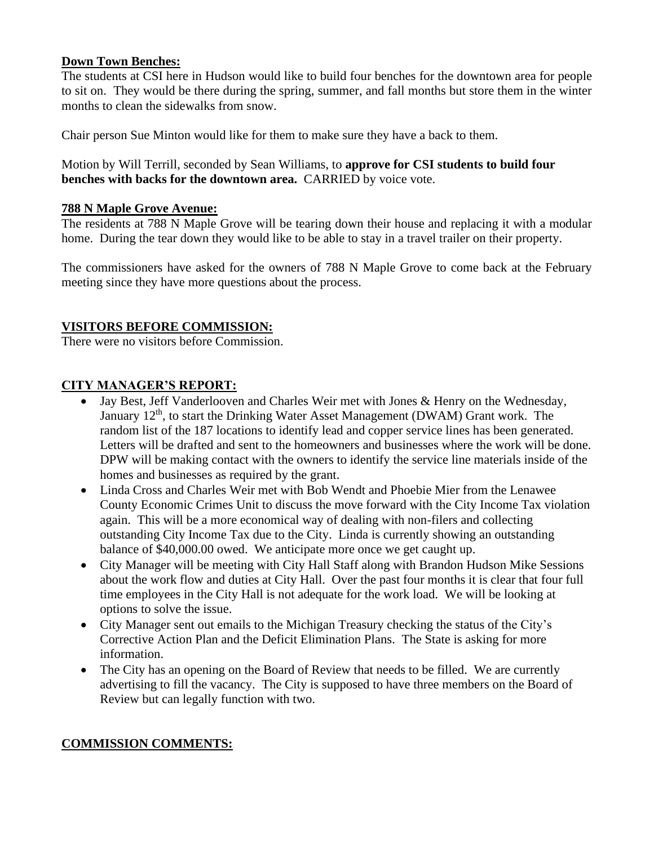#### **Down Town Benches:**

The students at CSI here in Hudson would like to build four benches for the downtown area for people to sit on. They would be there during the spring, summer, and fall months but store them in the winter months to clean the sidewalks from snow.

Chair person Sue Minton would like for them to make sure they have a back to them.

Motion by Will Terrill, seconded by Sean Williams, to **approve for CSI students to build four benches with backs for the downtown area.** CARRIED by voice vote.

#### **788 N Maple Grove Avenue:**

The residents at 788 N Maple Grove will be tearing down their house and replacing it with a modular home. During the tear down they would like to be able to stay in a travel trailer on their property.

The commissioners have asked for the owners of 788 N Maple Grove to come back at the February meeting since they have more questions about the process.

## **VISITORS BEFORE COMMISSION:**

There were no visitors before Commission.

## **CITY MANAGER'S REPORT:**

- Jay Best, Jeff Vanderlooven and Charles Weir met with Jones & Henry on the Wednesday, January 12<sup>th</sup>, to start the Drinking Water Asset Management (DWAM) Grant work. The random list of the 187 locations to identify lead and copper service lines has been generated. Letters will be drafted and sent to the homeowners and businesses where the work will be done. DPW will be making contact with the owners to identify the service line materials inside of the homes and businesses as required by the grant.
- Linda Cross and Charles Weir met with Bob Wendt and Phoebie Mier from the Lenawee County Economic Crimes Unit to discuss the move forward with the City Income Tax violation again. This will be a more economical way of dealing with non-filers and collecting outstanding City Income Tax due to the City. Linda is currently showing an outstanding balance of \$40,000.00 owed. We anticipate more once we get caught up.
- City Manager will be meeting with City Hall Staff along with Brandon Hudson Mike Sessions about the work flow and duties at City Hall. Over the past four months it is clear that four full time employees in the City Hall is not adequate for the work load. We will be looking at options to solve the issue.
- City Manager sent out emails to the Michigan Treasury checking the status of the City's Corrective Action Plan and the Deficit Elimination Plans. The State is asking for more information.
- The City has an opening on the Board of Review that needs to be filled. We are currently advertising to fill the vacancy. The City is supposed to have three members on the Board of Review but can legally function with two.

## **COMMISSION COMMENTS:**